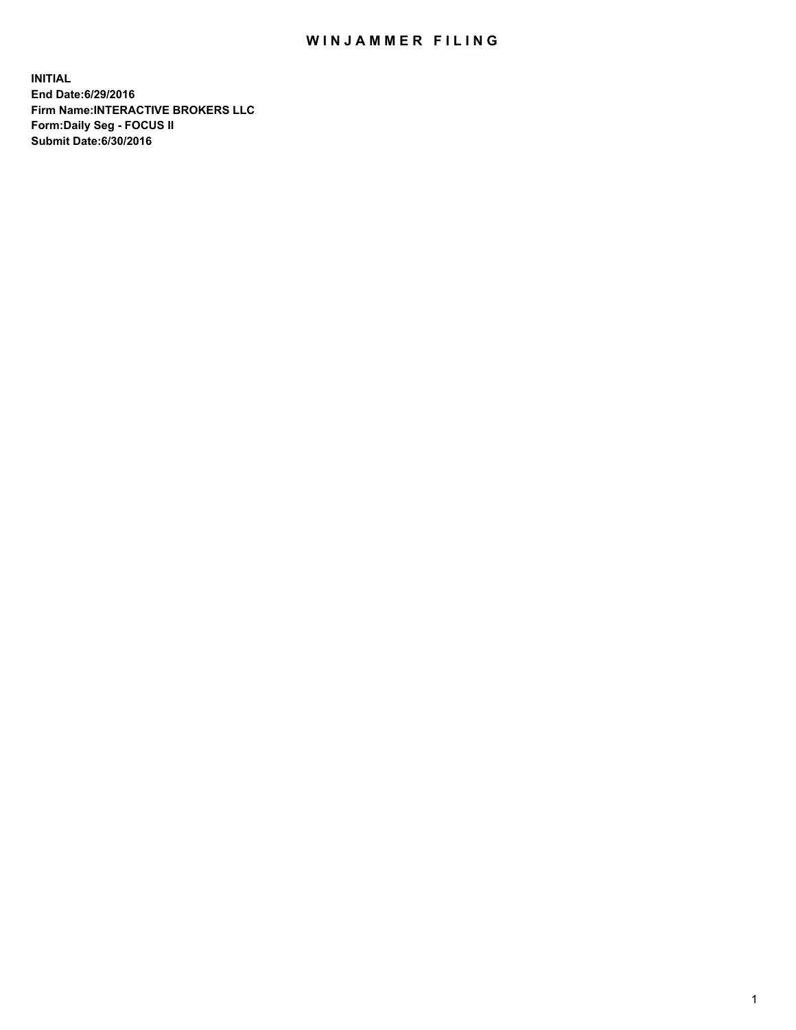## WIN JAMMER FILING

**INITIAL End Date:6/29/2016 Firm Name:INTERACTIVE BROKERS LLC Form:Daily Seg - FOCUS II Submit Date:6/30/2016**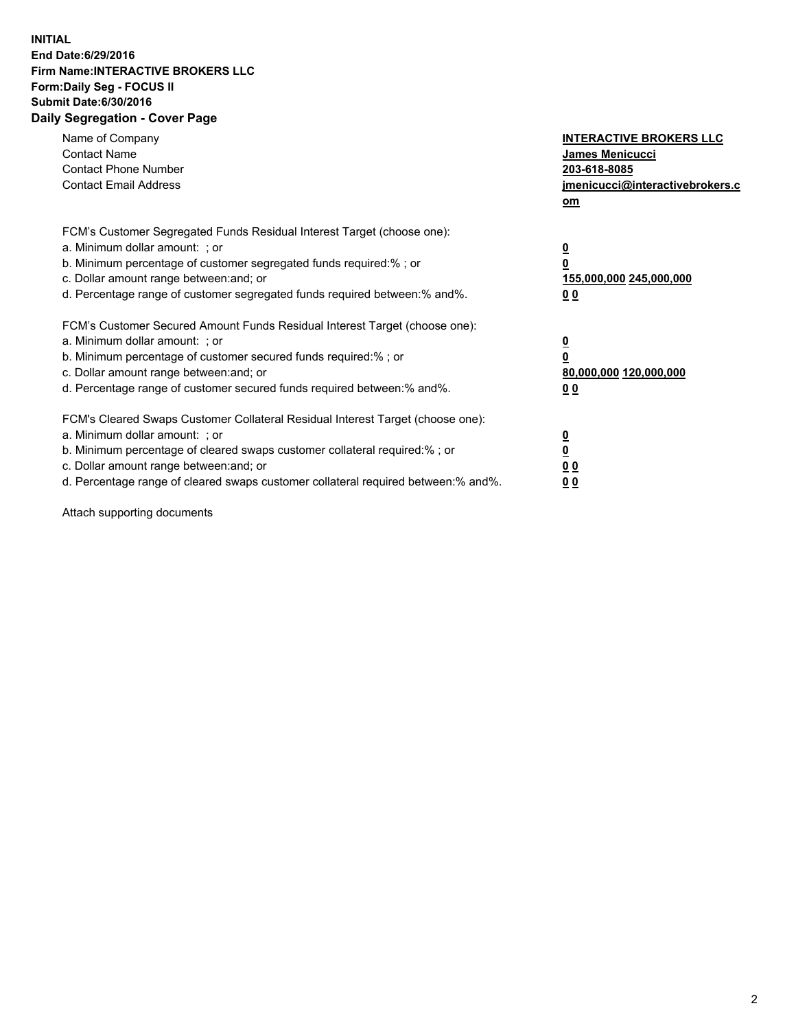## **INITIAL End Date:6/29/2016 Firm Name:INTERACTIVE BROKERS LLC Form:Daily Seg - FOCUS II Submit Date:6/30/2016 Daily Segregation - Cover Page**

| Name of Company<br><b>Contact Name</b><br><b>Contact Phone Number</b><br><b>Contact Email Address</b>                                                                                                                                                                                                                          | <b>INTERACTIVE BROKERS LLC</b><br>James Menicucci<br>203-618-8085<br>jmenicucci@interactivebrokers.c<br>om |
|--------------------------------------------------------------------------------------------------------------------------------------------------------------------------------------------------------------------------------------------------------------------------------------------------------------------------------|------------------------------------------------------------------------------------------------------------|
| FCM's Customer Segregated Funds Residual Interest Target (choose one):<br>a. Minimum dollar amount: ; or<br>b. Minimum percentage of customer segregated funds required:%; or<br>c. Dollar amount range between: and; or<br>d. Percentage range of customer segregated funds required between:% and%.                          | $\overline{\mathbf{0}}$<br>0<br>155,000,000 245,000,000<br>0 <sub>0</sub>                                  |
| FCM's Customer Secured Amount Funds Residual Interest Target (choose one):<br>a. Minimum dollar amount: ; or<br>b. Minimum percentage of customer secured funds required:%; or<br>c. Dollar amount range between: and; or<br>d. Percentage range of customer secured funds required between:% and%.                            | $\overline{\mathbf{0}}$<br>$\overline{\mathbf{0}}$<br>80,000,000 120,000,000<br>00                         |
| FCM's Cleared Swaps Customer Collateral Residual Interest Target (choose one):<br>a. Minimum dollar amount: ; or<br>b. Minimum percentage of cleared swaps customer collateral required:% ; or<br>c. Dollar amount range between: and; or<br>d. Percentage range of cleared swaps customer collateral required between:% and%. | $\overline{\mathbf{0}}$<br>$\overline{\mathbf{0}}$<br>0 <sub>0</sub><br><u>00</u>                          |

Attach supporting documents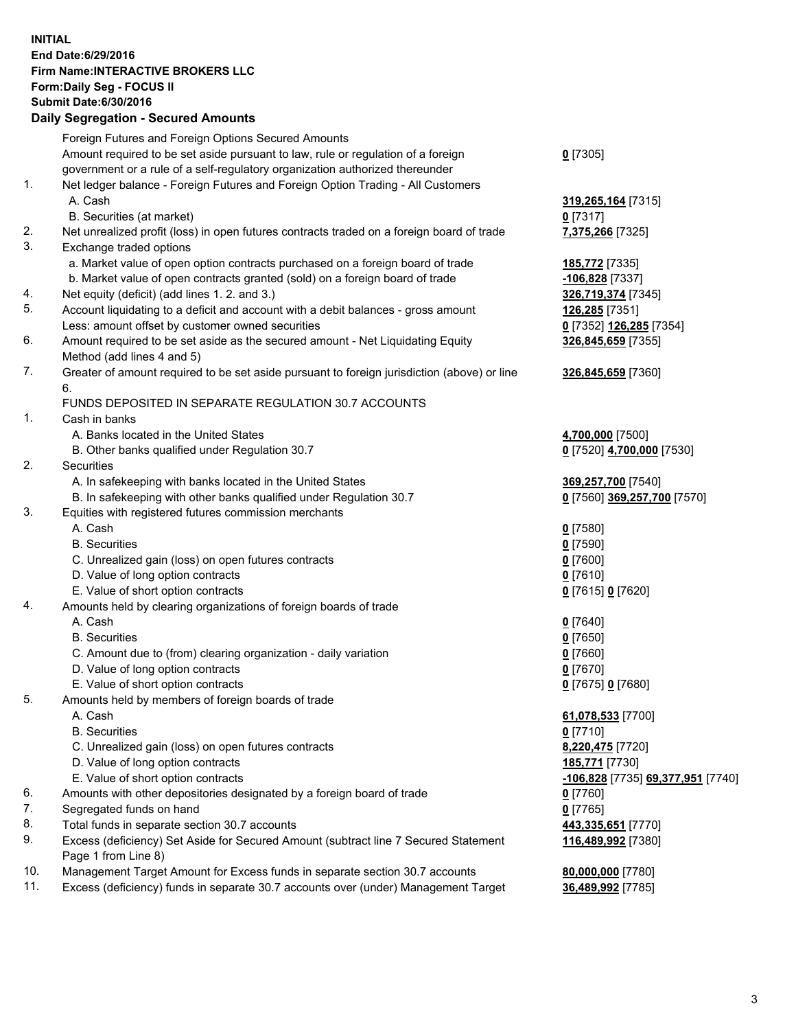## **INITIAL End Date:6/29/2016 Firm Name:INTERACTIVE BROKERS LLC Form:Daily Seg - FOCUS II Submit Date:6/30/2016 Daily Segregation - Secured Amounts**

|     | Dany Ocgregation - Oceanea Amounts                                                          |                                   |
|-----|---------------------------------------------------------------------------------------------|-----------------------------------|
|     | Foreign Futures and Foreign Options Secured Amounts                                         |                                   |
|     | Amount required to be set aside pursuant to law, rule or regulation of a foreign            | $0$ [7305]                        |
|     | government or a rule of a self-regulatory organization authorized thereunder                |                                   |
| 1.  | Net ledger balance - Foreign Futures and Foreign Option Trading - All Customers             |                                   |
|     | A. Cash                                                                                     | 319,265,164 [7315]                |
|     | B. Securities (at market)                                                                   | $0$ [7317]                        |
| 2.  | Net unrealized profit (loss) in open futures contracts traded on a foreign board of trade   | 7,375,266 [7325]                  |
| 3.  | Exchange traded options                                                                     |                                   |
|     | a. Market value of open option contracts purchased on a foreign board of trade              | 185,772 [7335]                    |
|     | b. Market value of open contracts granted (sold) on a foreign board of trade                | -106,828 [7337]                   |
| 4.  | Net equity (deficit) (add lines 1.2. and 3.)                                                | 326,719,374 [7345]                |
| 5.  | Account liquidating to a deficit and account with a debit balances - gross amount           | 126,285 [7351]                    |
|     | Less: amount offset by customer owned securities                                            | 0 [7352] 126,285 [7354]           |
| 6.  | Amount required to be set aside as the secured amount - Net Liquidating Equity              | 326,845,659 [7355]                |
|     | Method (add lines 4 and 5)                                                                  |                                   |
| 7.  | Greater of amount required to be set aside pursuant to foreign jurisdiction (above) or line | 326,845,659 [7360]                |
|     | 6.                                                                                          |                                   |
|     | FUNDS DEPOSITED IN SEPARATE REGULATION 30.7 ACCOUNTS                                        |                                   |
| 1.  | Cash in banks                                                                               |                                   |
|     | A. Banks located in the United States                                                       | 4,700,000 [7500]                  |
|     | B. Other banks qualified under Regulation 30.7                                              | 0 [7520] 4,700,000 [7530]         |
| 2.  | <b>Securities</b>                                                                           |                                   |
|     | A. In safekeeping with banks located in the United States                                   | 369,257,700 [7540]                |
|     | B. In safekeeping with other banks qualified under Regulation 30.7                          | 0 [7560] 369,257,700 [7570]       |
| 3.  | Equities with registered futures commission merchants                                       |                                   |
|     | A. Cash                                                                                     | $0$ [7580]                        |
|     | <b>B.</b> Securities                                                                        | $0$ [7590]                        |
|     | C. Unrealized gain (loss) on open futures contracts                                         | $0$ [7600]                        |
|     | D. Value of long option contracts                                                           | $0$ [7610]                        |
|     | E. Value of short option contracts                                                          | 0 [7615] 0 [7620]                 |
| 4.  | Amounts held by clearing organizations of foreign boards of trade                           |                                   |
|     | A. Cash                                                                                     | $0$ [7640]                        |
|     | <b>B.</b> Securities                                                                        | $0$ [7650]                        |
|     | C. Amount due to (from) clearing organization - daily variation                             | $0$ [7660]                        |
|     | D. Value of long option contracts                                                           | $0$ [7670]                        |
|     | E. Value of short option contracts                                                          | 0 [7675] 0 [7680]                 |
| 5.  | Amounts held by members of foreign boards of trade                                          |                                   |
|     | A. Cash                                                                                     | 61,078,533 [7700]                 |
|     | <b>B.</b> Securities                                                                        | $0$ [7710]                        |
|     | C. Unrealized gain (loss) on open futures contracts                                         | 8,220,475 [7720]                  |
|     | D. Value of long option contracts                                                           | 185,771 [7730]                    |
|     | E. Value of short option contracts                                                          | -106,828 [7735] 69,377,951 [7740] |
| 6.  | Amounts with other depositories designated by a foreign board of trade                      | $0$ [7760]                        |
| 7.  | Segregated funds on hand                                                                    | $0$ [7765]                        |
| 8.  | Total funds in separate section 30.7 accounts                                               | 443,335,651 [7770]                |
| 9.  | Excess (deficiency) Set Aside for Secured Amount (subtract line 7 Secured Statement         | 116,489,992 [7380]                |
|     | Page 1 from Line 8)                                                                         |                                   |
| 10. | Management Target Amount for Excess funds in separate section 30.7 accounts                 | 80,000,000 [7780]                 |
| 11. | Excess (deficiency) funds in separate 30.7 accounts over (under) Management Target          | 36,489,992 [7785]                 |
|     |                                                                                             |                                   |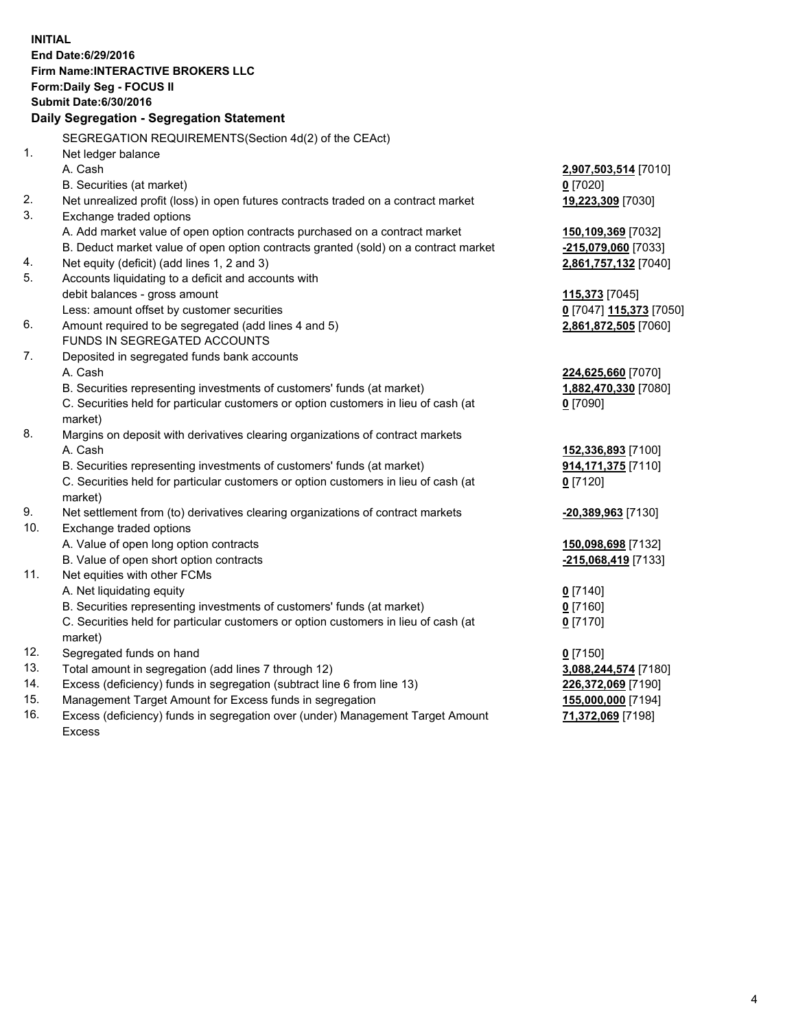**INITIAL End Date:6/29/2016 Firm Name:INTERACTIVE BROKERS LLC Form:Daily Seg - FOCUS II Submit Date:6/30/2016 Daily Segregation - Segregation Statement** SEGREGATION REQUIREMENTS(Section 4d(2) of the CEAct) 1. Net ledger balance A. Cash **2,907,503,514** [7010] B. Securities (at market) **0** [7020] 2. Net unrealized profit (loss) in open futures contracts traded on a contract market **19,223,309** [7030] 3. Exchange traded options A. Add market value of open option contracts purchased on a contract market **150,109,369** [7032] B. Deduct market value of open option contracts granted (sold) on a contract market **-215,079,060** [7033] 4. Net equity (deficit) (add lines 1, 2 and 3) **2,861,757,132** [7040] 5. Accounts liquidating to a deficit and accounts with debit balances - gross amount **115,373** [7045] Less: amount offset by customer securities **0** [7047] **115,373** [7050] 6. Amount required to be segregated (add lines 4 and 5) **2,861,872,505** [7060] FUNDS IN SEGREGATED ACCOUNTS 7. Deposited in segregated funds bank accounts A. Cash **224,625,660** [7070] B. Securities representing investments of customers' funds (at market) **1,882,470,330** [7080] C. Securities held for particular customers or option customers in lieu of cash (at market) **0** [7090] 8. Margins on deposit with derivatives clearing organizations of contract markets A. Cash **152,336,893** [7100] B. Securities representing investments of customers' funds (at market) **914,171,375** [7110] C. Securities held for particular customers or option customers in lieu of cash (at market) **0** [7120] 9. Net settlement from (to) derivatives clearing organizations of contract markets **-20,389,963** [7130] 10. Exchange traded options A. Value of open long option contracts **150,098,698** [7132] B. Value of open short option contracts **-215,068,419** [7133] 11. Net equities with other FCMs A. Net liquidating equity **0** [7140] B. Securities representing investments of customers' funds (at market) **0** [7160] C. Securities held for particular customers or option customers in lieu of cash (at market) **0** [7170] 12. Segregated funds on hand **0** [7150] 13. Total amount in segregation (add lines 7 through 12) **3,088,244,574** [7180] 14. Excess (deficiency) funds in segregation (subtract line 6 from line 13) **226,372,069** [7190] 15. Management Target Amount for Excess funds in segregation **155,000,000** [7194] 16. Excess (deficiency) funds in segregation over (under) Management Target Amount **71,372,069** [7198]

Excess